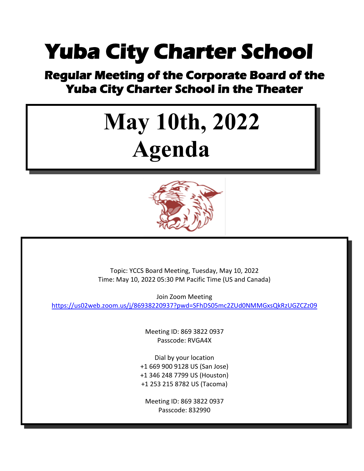### **Yuba City Charter School**

## **Regular Meeting of the Corporate Board of the Yuba City Charter School in the Theater**

# **May 10th, 2022 Agenda**



Topic: YCCS Board Meeting, Tuesday, May 10, 2022 Time: May 10, 2022 05:30 PM Pacific Time (US and Canada)

Join Zoom Meeting <https://us02web.zoom.us/j/86938220937?pwd=SFhDS05mc2ZUd0NMMGxsQkRzUGZCZz09>

> Meeting ID: 869 3822 0937 Passcode: RVGA4X

Dial by your location +1 669 900 9128 US (San Jose) +1 346 248 7799 US (Houston) +1 253 215 8782 US (Tacoma)

Meeting ID: 869 3822 0937 Passcode: 832990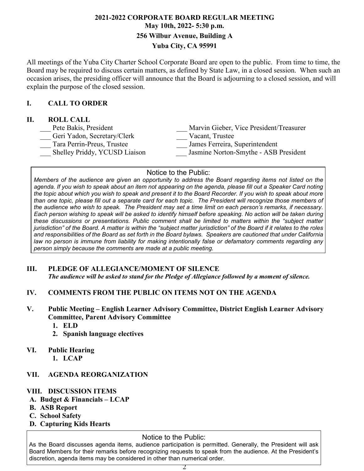#### **2021-2022 CORPORATE BOARD REGULAR MEETING May 10th, 2022- 5:30 p.m. 256 Wilbur Avenue, Building A Yuba City, CA 95991**

All meetings of the Yuba City Charter School Corporate Board are open to the public. From time to time, the Board may be required to discuss certain matters, as defined by State Law, in a closed session. When such an occasion arises, the presiding officer will announce that the Board is adjourning to a closed session, and will explain the purpose of the closed session.

#### **I. CALL TO ORDER**

#### **II. ROLL CALL**

| Pete Bakis, President         | Marvin Gieber, Vice President/Treasurer |
|-------------------------------|-----------------------------------------|
| Geri Yadon, Secretary/Clerk   | Vacant, Trustee                         |
| Tara Perrin-Preus, Trustee    | James Ferreira, Superintendent          |
| Shelley Priddy, YCUSD Liaison | Jasmine Norton-Smythe - ASB President   |
|                               |                                         |

#### Notice to the Public:

the topic about which you wish to speak and present it to the Board Recorder. If you wish to speak about more Members of the audience are given an opportunity to address the Board regarding items not listed on the agenda. If you wish to speak about an item not appearing on the agenda, please fill out a Speaker Card noting than one topic, please fill out a separate card for each topic. The President will recognize those members of the audience who wish to speak. The President may set a time limit on each person's remarks, if necessary. Each person wishing to speak will be asked to identify himself before speaking. No action will be taken during *these discussions or presentations. Public comment shall be limited to matters within the "subject matter* jurisdiction" of the Board. A matter is within the "subject matter jurisdiction" of the Board if it relates to the roles and responsibilities of the Board as set forth in the Board bylaws. Speakers are cautioned that under California *law no person is immune from liability for making intentionally false or defamatory comments regarding any person simply because the comments are made at a public meeting.*

#### **III. PLEDGE OF ALLEGIANCE/MOMENT OF SILENCE**

*The audience will be asked to stand for the Pledge of Allegiance followed by a moment of silence.*

- **IV. COMMENTS FROM THE PUBLIC ON ITEMS NOT ON THE AGENDA**
- **V. Public Meeting – English Learner Advisory Committee, District English Learner Advisory Committee, Parent Advisory Committee**
	- **1. ELD**
	- **2. Spanish language electives**

#### **VI. Public Hearing**

**1. LCAP**

#### **VII. AGENDA REORGANIZATION**

#### **VIII. DISCUSSION ITEMS**

- **A. Budget & Financials – LCAP**
- **B. ASB Report**
- **C. School Safety**
- **D. Capturing Kids Hearts**

#### Notice to the Public:

As the Board discusses agenda items, audience participation is permitted. Generally, the President will ask Board Members for their remarks before recognizing requests to speak from the audience. At the President's discretion, agenda items may be considered in other than numerical order.